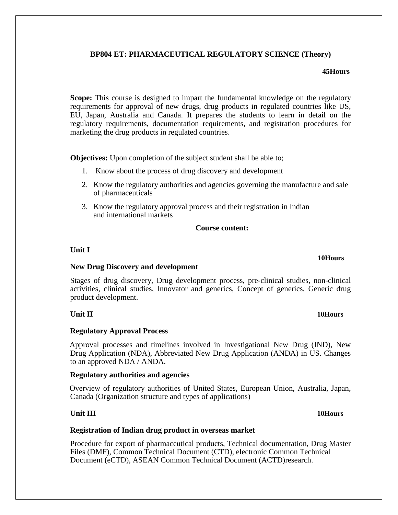# **BP804 ET: PHARMACEUTICAL REGULATORY SCIENCE (Theory)**

#### **45Hours**

**Scope:** This course is designed to impart the fundamental knowledge on the regulatory requirements for approval of new drugs, drug products in regulated countries like US, EU, Japan, Australia and Canada. It prepares the students to learn in detail on the regulatory requirements, documentation requirements, and registration procedures for marketing the drug products in regulated countries.

**Objectives:** Upon completion of the subject student shall be able to;

- 1. Know about the process of drug discovery and development
- 2. Know the regulatory authorities and agencies governing the manufacture and sale of pharmaceuticals
- 3. Know the regulatory approval process and their registration in Indian and international markets

#### **Course content:**

## **Unit I**

### **New Drug Discovery and development**

Stages of drug discovery, Drug development process, pre-clinical studies, non-clinical activities, clinical studies, Innovator and generics, Concept of generics, Generic drug product development.

### **Regulatory Approval Process**

Approval processes and timelines involved in Investigational New Drug (IND), New Drug Application (NDA), Abbreviated New Drug Application (ANDA) in US. Changes to an approved NDA / ANDA.

### **Regulatory authorities and agencies**

Overview of regulatory authorities of United States, European Union, Australia, Japan, Canada (Organization structure and types of applications)

# **Unit III 10Hours**

# **Registration of Indian drug product in overseas market**

Procedure for export of pharmaceutical products, Technical documentation, Drug Master Files (DMF), Common Technical Document (CTD), electronic Common Technical Document (eCTD), ASEAN Common Technical Document (ACTD)research.

## **10Hours**

#### **Unit II 10Hours**